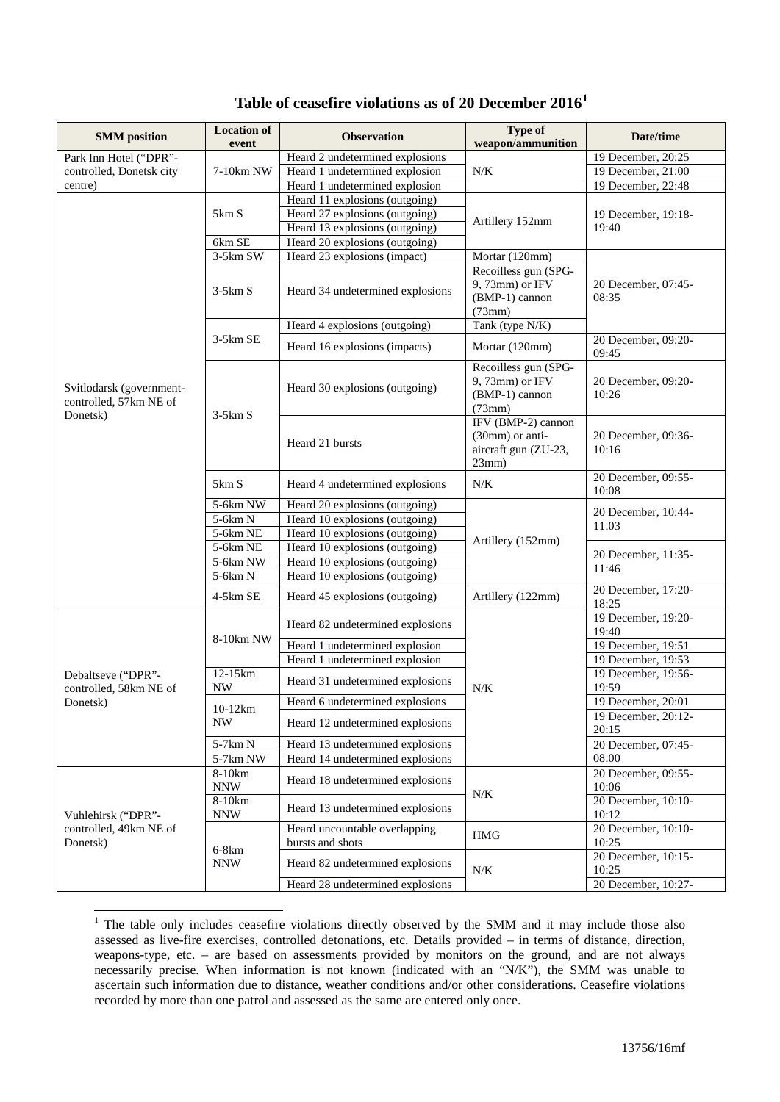| <b>SMM</b> position                                            | <b>Location of</b>                    | <b>Observation</b>                                | <b>Type of</b>                                                         | Date/time                    |
|----------------------------------------------------------------|---------------------------------------|---------------------------------------------------|------------------------------------------------------------------------|------------------------------|
|                                                                | event                                 |                                                   | weapon/ammunition                                                      |                              |
| Park Inn Hotel ("DPR"-<br>controlled, Donetsk city<br>centre)  |                                       | Heard 2 undetermined explosions                   |                                                                        | 19 December, 20:25           |
|                                                                | 7-10km NW                             | Heard 1 undetermined explosion                    | N/K                                                                    | 19 December, 21:00           |
|                                                                |                                       | Heard 1 undetermined explosion                    |                                                                        | 19 December, 22:48           |
|                                                                |                                       | Heard 11 explosions (outgoing)                    |                                                                        |                              |
|                                                                | 5km S                                 | Heard 27 explosions (outgoing)                    | Artillery 152mm                                                        | 19 December, 19:18-          |
|                                                                |                                       | Heard 13 explosions (outgoing)                    |                                                                        | 19:40                        |
|                                                                | 6km SE                                | Heard 20 explosions (outgoing)                    |                                                                        |                              |
|                                                                | $3-5km$ SW                            | Heard 23 explosions (impact)                      | Mortar (120mm)                                                         |                              |
|                                                                | $3-5km S$                             | Heard 34 undetermined explosions                  | Recoilless gun (SPG-<br>9, 73mm) or IFV<br>(BMP-1) cannon<br>(73mm)    | 20 December, 07:45-<br>08:35 |
|                                                                |                                       | Heard 4 explosions (outgoing)                     | Tank (type N/K)                                                        |                              |
|                                                                | $3-5km$ SE                            | Heard 16 explosions (impacts)                     | Mortar (120mm)                                                         | 20 December, 09:20-<br>09:45 |
| Svitlodarsk (government-<br>controlled, 57km NE of<br>Donetsk) | $3-5km S$                             | Heard 30 explosions (outgoing)                    | Recoilless gun (SPG-<br>9, 73mm) or IFV<br>(BMP-1) cannon<br>(73mm)    | 20 December, 09:20-<br>10:26 |
|                                                                |                                       | Heard 21 bursts                                   | IFV (BMP-2) cannon<br>(30mm) or anti-<br>aircraft gun (ZU-23,<br>23mm) | 20 December, 09:36-<br>10:16 |
|                                                                | 5km S                                 | Heard 4 undetermined explosions                   | N/K                                                                    | 20 December, 09:55-<br>10:08 |
|                                                                | 5-6km NW                              | Heard 20 explosions (outgoing)                    | Artillery (152mm)                                                      | 20 December, 10:44-          |
|                                                                | 5-6km N                               | Heard 10 explosions (outgoing)                    |                                                                        | 11:03                        |
|                                                                | 5-6km NE                              | Heard 10 explosions (outgoing)                    |                                                                        |                              |
|                                                                | $5-6km$ NE                            | Heard 10 explosions (outgoing)                    |                                                                        | 20 December, 11:35-          |
|                                                                | 5-6km NW                              | Heard 10 explosions (outgoing)                    |                                                                        | 11:46                        |
|                                                                | 5-6km N                               | Heard 10 explosions (outgoing)                    |                                                                        |                              |
|                                                                | 4-5km SE                              | Heard 45 explosions (outgoing)                    | Artillery (122mm)                                                      | 20 December, 17:20-<br>18:25 |
|                                                                |                                       | Heard 82 undetermined explosions                  | $N/K$                                                                  | 19 December, 19:20-<br>19:40 |
|                                                                | 8-10km NW                             | Heard 1 undetermined explosion                    |                                                                        | 19 December, 19:51           |
|                                                                |                                       | Heard 1 undetermined explosion                    |                                                                        | 19 December, 19:53           |
| Debaltseve ("DPR"-<br>controlled, 58km NE of                   | 12-15km<br><b>NW</b>                  | Heard 31 undetermined explosions                  |                                                                        | 19 December, 19:56-<br>19:59 |
| Donetsk)                                                       |                                       | Heard 6 undetermined explosions                   |                                                                        | 19 December, 20:01           |
|                                                                | $10-12km$<br>$\ensuremath{\text{NW}}$ | Heard 12 undetermined explosions                  |                                                                        | 19 December, 20:12-<br>20:15 |
|                                                                | 5-7km N                               | Heard 13 undetermined explosions                  |                                                                        | 20 December, 07:45-          |
|                                                                | $5-7km$ NW                            | Heard 14 undetermined explosions                  |                                                                        | 08:00                        |
| Vuhlehirsk ("DPR"-<br>controlled, 49km NE of<br>Donetsk)       | $8-10km$<br><b>NNW</b>                | Heard 18 undetermined explosions                  | $N\!/\!K$                                                              | 20 December, 09:55-<br>10:06 |
|                                                                | 8-10km<br><b>NNW</b>                  | Heard 13 undetermined explosions                  |                                                                        | 20 December, 10:10-<br>10:12 |
|                                                                | $6-8km$<br>$\textit{NNW}$             | Heard uncountable overlapping<br>bursts and shots | <b>HMG</b>                                                             | 20 December, 10:10-<br>10:25 |
|                                                                |                                       | Heard 82 undetermined explosions                  | N/K                                                                    | 20 December, 10:15-<br>10:25 |
|                                                                |                                       | Heard 28 undetermined explosions                  |                                                                        | 20 December, 10:27-          |

## **Table of ceasefire violations as of 20 December 2016[1](#page-0-0)**

<span id="page-0-0"></span><sup>&</sup>lt;sup>1</sup> The table only includes ceasefire violations directly observed by the SMM and it may include those also assessed as live-fire exercises, controlled detonations, etc. Details provided – in terms of distance, direction, weapons-type, etc. – are based on assessments provided by monitors on the ground, and are not always necessarily precise. When information is not known (indicated with an "N/K"), the SMM was unable to ascertain such information due to distance, weather conditions and/or other considerations. Ceasefire violations recorded by more than one patrol and assessed as the same are entered only once.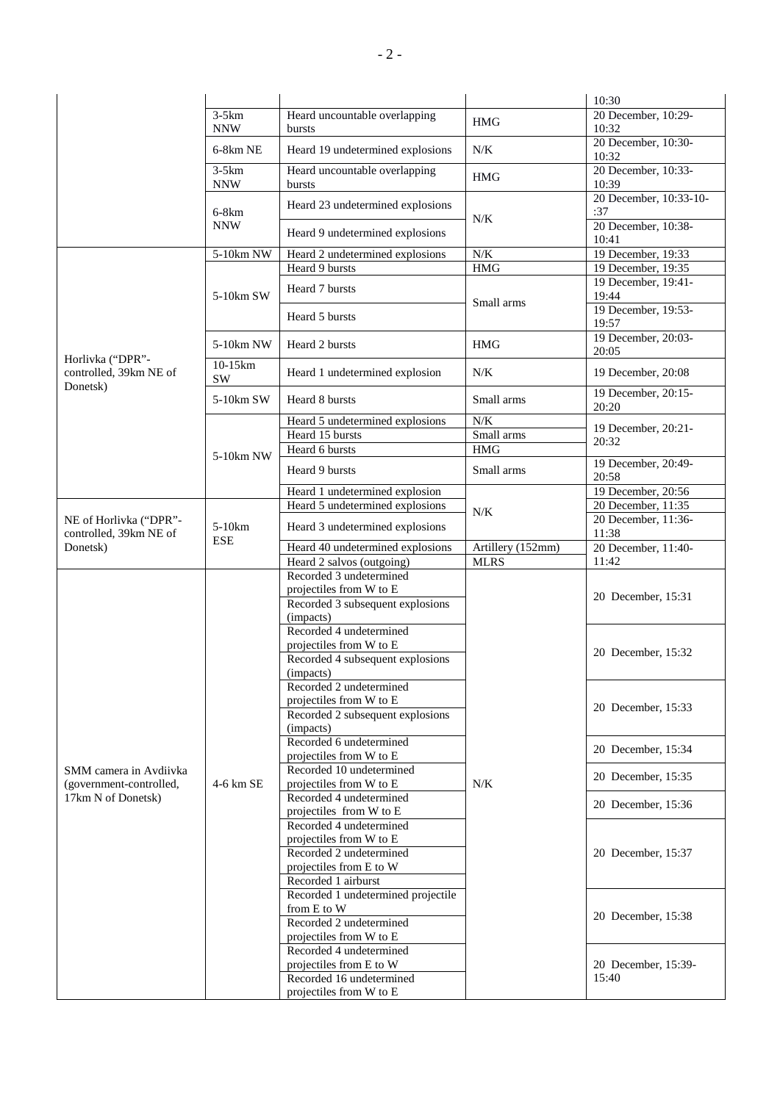| 20 December, 10:29-<br>$3-5km$<br>Heard uncountable overlapping<br><b>HMG</b><br>10:32<br><b>NNW</b><br>bursts<br>20 December, 10:30-<br>Heard 19 undetermined explosions<br>N/K<br>6-8km NE<br>10:32<br>20 December, 10:33-<br>$3-5km$<br>Heard uncountable overlapping<br><b>HMG</b><br><b>NNW</b><br>10:39<br>bursts<br>20 December, 10:33-10-<br>Heard 23 undetermined explosions<br>$6-8km$<br>:37<br>$N/K$<br><b>NNW</b><br>20 December, 10:38-<br>Heard 9 undetermined explosions<br>10:41<br>$N\!/\!K$<br>19 December, 19:33<br>5-10km NW<br>Heard 2 undetermined explosions<br>Heard 9 bursts<br><b>HMG</b><br>19 December, 19:35<br>19 December, 19:41-<br>Heard 7 bursts<br>5-10km SW<br>19:44<br>Small arms<br>19 December, 19:53-<br>Heard 5 bursts<br>19:57<br>19 December, 20:03-<br>Heard 2 bursts<br>5-10km NW<br><b>HMG</b><br>20:05<br>Horlivka ("DPR"-<br>$10-15km$<br>$N\!/\!K$<br>19 December, 20:08<br>controlled, 39km NE of<br>Heard 1 undetermined explosion<br>SW<br>Donetsk)<br>19 December, 20:15-<br>5-10km SW<br>Heard 8 bursts<br>Small arms<br>20:20<br>N/K<br>Heard 5 undetermined explosions<br>19 December, 20:21-<br>Small arms<br>Heard 15 bursts<br>20:32<br>Heard 6 bursts<br><b>HMG</b><br>5-10km NW<br>19 December, 20:49-<br>Heard 9 bursts<br>Small arms<br>20:58<br>19 December, 20:56<br>Heard 1 undetermined explosion<br>Heard 5 undetermined explosions<br>20 December, 11:35<br>$N/K$<br>20 December, 11:36-<br>NE of Horlivka ("DPR"-<br>5-10km<br>Heard 3 undetermined explosions<br>11:38<br>controlled, 39km NE of<br><b>ESE</b><br>Heard 40 undetermined explosions<br>Artillery $(152mm)$<br>20 December, 11:40-<br>Donetsk)<br>Heard 2 salvos (outgoing)<br><b>MLRS</b><br>11:42<br>Recorded 3 undetermined<br>projectiles from W to E<br>20 December, 15:31<br>Recorded 3 subsequent explosions<br>(impacts)<br>Recorded 4 undetermined<br>projectiles from W to E<br>20 December, 15:32<br>Recorded 4 subsequent explosions<br>(impacts)<br>Recorded 2 undetermined<br>projectiles from W to E<br>20 December, 15:33<br>Recorded 2 subsequent explosions<br>(impacts)<br>Recorded 6 undetermined<br>20 December, 15:34<br>projectiles from W to E<br>Recorded 10 undetermined<br>SMM camera in Avdiivka<br>20 December, 15:35<br>N/K<br>4-6 km SE<br>projectiles from W to E<br>(government-controlled,<br>Recorded 4 undetermined<br>17km N of Donetsk)<br>20 December, 15:36<br>projectiles from W to E<br>Recorded 4 undetermined<br>projectiles from W to E<br>Recorded 2 undetermined<br>20 December, 15:37<br>projectiles from E to W<br>Recorded 1 airburst<br>Recorded 1 undetermined projectile<br>from E to W<br>20 December, 15:38<br>Recorded 2 undetermined<br>projectiles from W to E<br>Recorded 4 undetermined<br>projectiles from E to W<br>20 December, 15:39-<br>Recorded 16 undetermined<br>15:40 |  |  |                         |  | 10:30 |
|----------------------------------------------------------------------------------------------------------------------------------------------------------------------------------------------------------------------------------------------------------------------------------------------------------------------------------------------------------------------------------------------------------------------------------------------------------------------------------------------------------------------------------------------------------------------------------------------------------------------------------------------------------------------------------------------------------------------------------------------------------------------------------------------------------------------------------------------------------------------------------------------------------------------------------------------------------------------------------------------------------------------------------------------------------------------------------------------------------------------------------------------------------------------------------------------------------------------------------------------------------------------------------------------------------------------------------------------------------------------------------------------------------------------------------------------------------------------------------------------------------------------------------------------------------------------------------------------------------------------------------------------------------------------------------------------------------------------------------------------------------------------------------------------------------------------------------------------------------------------------------------------------------------------------------------------------------------------------------------------------------------------------------------------------------------------------------------------------------------------------------------------------------------------------------------------------------------------------------------------------------------------------------------------------------------------------------------------------------------------------------------------------------------------------------------------------------------------------------------------------------------------------------------------------------------------------------------------------------------------------------------------------------------------------------------------------------------------------------------------------------------------------------------------------------------------------------------------------------------------------------|--|--|-------------------------|--|-------|
|                                                                                                                                                                                                                                                                                                                                                                                                                                                                                                                                                                                                                                                                                                                                                                                                                                                                                                                                                                                                                                                                                                                                                                                                                                                                                                                                                                                                                                                                                                                                                                                                                                                                                                                                                                                                                                                                                                                                                                                                                                                                                                                                                                                                                                                                                                                                                                                                                                                                                                                                                                                                                                                                                                                                                                                                                                                                                  |  |  |                         |  |       |
|                                                                                                                                                                                                                                                                                                                                                                                                                                                                                                                                                                                                                                                                                                                                                                                                                                                                                                                                                                                                                                                                                                                                                                                                                                                                                                                                                                                                                                                                                                                                                                                                                                                                                                                                                                                                                                                                                                                                                                                                                                                                                                                                                                                                                                                                                                                                                                                                                                                                                                                                                                                                                                                                                                                                                                                                                                                                                  |  |  |                         |  |       |
|                                                                                                                                                                                                                                                                                                                                                                                                                                                                                                                                                                                                                                                                                                                                                                                                                                                                                                                                                                                                                                                                                                                                                                                                                                                                                                                                                                                                                                                                                                                                                                                                                                                                                                                                                                                                                                                                                                                                                                                                                                                                                                                                                                                                                                                                                                                                                                                                                                                                                                                                                                                                                                                                                                                                                                                                                                                                                  |  |  |                         |  |       |
|                                                                                                                                                                                                                                                                                                                                                                                                                                                                                                                                                                                                                                                                                                                                                                                                                                                                                                                                                                                                                                                                                                                                                                                                                                                                                                                                                                                                                                                                                                                                                                                                                                                                                                                                                                                                                                                                                                                                                                                                                                                                                                                                                                                                                                                                                                                                                                                                                                                                                                                                                                                                                                                                                                                                                                                                                                                                                  |  |  |                         |  |       |
|                                                                                                                                                                                                                                                                                                                                                                                                                                                                                                                                                                                                                                                                                                                                                                                                                                                                                                                                                                                                                                                                                                                                                                                                                                                                                                                                                                                                                                                                                                                                                                                                                                                                                                                                                                                                                                                                                                                                                                                                                                                                                                                                                                                                                                                                                                                                                                                                                                                                                                                                                                                                                                                                                                                                                                                                                                                                                  |  |  |                         |  |       |
|                                                                                                                                                                                                                                                                                                                                                                                                                                                                                                                                                                                                                                                                                                                                                                                                                                                                                                                                                                                                                                                                                                                                                                                                                                                                                                                                                                                                                                                                                                                                                                                                                                                                                                                                                                                                                                                                                                                                                                                                                                                                                                                                                                                                                                                                                                                                                                                                                                                                                                                                                                                                                                                                                                                                                                                                                                                                                  |  |  |                         |  |       |
|                                                                                                                                                                                                                                                                                                                                                                                                                                                                                                                                                                                                                                                                                                                                                                                                                                                                                                                                                                                                                                                                                                                                                                                                                                                                                                                                                                                                                                                                                                                                                                                                                                                                                                                                                                                                                                                                                                                                                                                                                                                                                                                                                                                                                                                                                                                                                                                                                                                                                                                                                                                                                                                                                                                                                                                                                                                                                  |  |  |                         |  |       |
|                                                                                                                                                                                                                                                                                                                                                                                                                                                                                                                                                                                                                                                                                                                                                                                                                                                                                                                                                                                                                                                                                                                                                                                                                                                                                                                                                                                                                                                                                                                                                                                                                                                                                                                                                                                                                                                                                                                                                                                                                                                                                                                                                                                                                                                                                                                                                                                                                                                                                                                                                                                                                                                                                                                                                                                                                                                                                  |  |  |                         |  |       |
|                                                                                                                                                                                                                                                                                                                                                                                                                                                                                                                                                                                                                                                                                                                                                                                                                                                                                                                                                                                                                                                                                                                                                                                                                                                                                                                                                                                                                                                                                                                                                                                                                                                                                                                                                                                                                                                                                                                                                                                                                                                                                                                                                                                                                                                                                                                                                                                                                                                                                                                                                                                                                                                                                                                                                                                                                                                                                  |  |  |                         |  |       |
|                                                                                                                                                                                                                                                                                                                                                                                                                                                                                                                                                                                                                                                                                                                                                                                                                                                                                                                                                                                                                                                                                                                                                                                                                                                                                                                                                                                                                                                                                                                                                                                                                                                                                                                                                                                                                                                                                                                                                                                                                                                                                                                                                                                                                                                                                                                                                                                                                                                                                                                                                                                                                                                                                                                                                                                                                                                                                  |  |  |                         |  |       |
|                                                                                                                                                                                                                                                                                                                                                                                                                                                                                                                                                                                                                                                                                                                                                                                                                                                                                                                                                                                                                                                                                                                                                                                                                                                                                                                                                                                                                                                                                                                                                                                                                                                                                                                                                                                                                                                                                                                                                                                                                                                                                                                                                                                                                                                                                                                                                                                                                                                                                                                                                                                                                                                                                                                                                                                                                                                                                  |  |  |                         |  |       |
|                                                                                                                                                                                                                                                                                                                                                                                                                                                                                                                                                                                                                                                                                                                                                                                                                                                                                                                                                                                                                                                                                                                                                                                                                                                                                                                                                                                                                                                                                                                                                                                                                                                                                                                                                                                                                                                                                                                                                                                                                                                                                                                                                                                                                                                                                                                                                                                                                                                                                                                                                                                                                                                                                                                                                                                                                                                                                  |  |  |                         |  |       |
|                                                                                                                                                                                                                                                                                                                                                                                                                                                                                                                                                                                                                                                                                                                                                                                                                                                                                                                                                                                                                                                                                                                                                                                                                                                                                                                                                                                                                                                                                                                                                                                                                                                                                                                                                                                                                                                                                                                                                                                                                                                                                                                                                                                                                                                                                                                                                                                                                                                                                                                                                                                                                                                                                                                                                                                                                                                                                  |  |  |                         |  |       |
|                                                                                                                                                                                                                                                                                                                                                                                                                                                                                                                                                                                                                                                                                                                                                                                                                                                                                                                                                                                                                                                                                                                                                                                                                                                                                                                                                                                                                                                                                                                                                                                                                                                                                                                                                                                                                                                                                                                                                                                                                                                                                                                                                                                                                                                                                                                                                                                                                                                                                                                                                                                                                                                                                                                                                                                                                                                                                  |  |  |                         |  |       |
|                                                                                                                                                                                                                                                                                                                                                                                                                                                                                                                                                                                                                                                                                                                                                                                                                                                                                                                                                                                                                                                                                                                                                                                                                                                                                                                                                                                                                                                                                                                                                                                                                                                                                                                                                                                                                                                                                                                                                                                                                                                                                                                                                                                                                                                                                                                                                                                                                                                                                                                                                                                                                                                                                                                                                                                                                                                                                  |  |  |                         |  |       |
|                                                                                                                                                                                                                                                                                                                                                                                                                                                                                                                                                                                                                                                                                                                                                                                                                                                                                                                                                                                                                                                                                                                                                                                                                                                                                                                                                                                                                                                                                                                                                                                                                                                                                                                                                                                                                                                                                                                                                                                                                                                                                                                                                                                                                                                                                                                                                                                                                                                                                                                                                                                                                                                                                                                                                                                                                                                                                  |  |  |                         |  |       |
|                                                                                                                                                                                                                                                                                                                                                                                                                                                                                                                                                                                                                                                                                                                                                                                                                                                                                                                                                                                                                                                                                                                                                                                                                                                                                                                                                                                                                                                                                                                                                                                                                                                                                                                                                                                                                                                                                                                                                                                                                                                                                                                                                                                                                                                                                                                                                                                                                                                                                                                                                                                                                                                                                                                                                                                                                                                                                  |  |  |                         |  |       |
|                                                                                                                                                                                                                                                                                                                                                                                                                                                                                                                                                                                                                                                                                                                                                                                                                                                                                                                                                                                                                                                                                                                                                                                                                                                                                                                                                                                                                                                                                                                                                                                                                                                                                                                                                                                                                                                                                                                                                                                                                                                                                                                                                                                                                                                                                                                                                                                                                                                                                                                                                                                                                                                                                                                                                                                                                                                                                  |  |  |                         |  |       |
|                                                                                                                                                                                                                                                                                                                                                                                                                                                                                                                                                                                                                                                                                                                                                                                                                                                                                                                                                                                                                                                                                                                                                                                                                                                                                                                                                                                                                                                                                                                                                                                                                                                                                                                                                                                                                                                                                                                                                                                                                                                                                                                                                                                                                                                                                                                                                                                                                                                                                                                                                                                                                                                                                                                                                                                                                                                                                  |  |  |                         |  |       |
|                                                                                                                                                                                                                                                                                                                                                                                                                                                                                                                                                                                                                                                                                                                                                                                                                                                                                                                                                                                                                                                                                                                                                                                                                                                                                                                                                                                                                                                                                                                                                                                                                                                                                                                                                                                                                                                                                                                                                                                                                                                                                                                                                                                                                                                                                                                                                                                                                                                                                                                                                                                                                                                                                                                                                                                                                                                                                  |  |  |                         |  |       |
|                                                                                                                                                                                                                                                                                                                                                                                                                                                                                                                                                                                                                                                                                                                                                                                                                                                                                                                                                                                                                                                                                                                                                                                                                                                                                                                                                                                                                                                                                                                                                                                                                                                                                                                                                                                                                                                                                                                                                                                                                                                                                                                                                                                                                                                                                                                                                                                                                                                                                                                                                                                                                                                                                                                                                                                                                                                                                  |  |  |                         |  |       |
|                                                                                                                                                                                                                                                                                                                                                                                                                                                                                                                                                                                                                                                                                                                                                                                                                                                                                                                                                                                                                                                                                                                                                                                                                                                                                                                                                                                                                                                                                                                                                                                                                                                                                                                                                                                                                                                                                                                                                                                                                                                                                                                                                                                                                                                                                                                                                                                                                                                                                                                                                                                                                                                                                                                                                                                                                                                                                  |  |  |                         |  |       |
|                                                                                                                                                                                                                                                                                                                                                                                                                                                                                                                                                                                                                                                                                                                                                                                                                                                                                                                                                                                                                                                                                                                                                                                                                                                                                                                                                                                                                                                                                                                                                                                                                                                                                                                                                                                                                                                                                                                                                                                                                                                                                                                                                                                                                                                                                                                                                                                                                                                                                                                                                                                                                                                                                                                                                                                                                                                                                  |  |  |                         |  |       |
|                                                                                                                                                                                                                                                                                                                                                                                                                                                                                                                                                                                                                                                                                                                                                                                                                                                                                                                                                                                                                                                                                                                                                                                                                                                                                                                                                                                                                                                                                                                                                                                                                                                                                                                                                                                                                                                                                                                                                                                                                                                                                                                                                                                                                                                                                                                                                                                                                                                                                                                                                                                                                                                                                                                                                                                                                                                                                  |  |  |                         |  |       |
|                                                                                                                                                                                                                                                                                                                                                                                                                                                                                                                                                                                                                                                                                                                                                                                                                                                                                                                                                                                                                                                                                                                                                                                                                                                                                                                                                                                                                                                                                                                                                                                                                                                                                                                                                                                                                                                                                                                                                                                                                                                                                                                                                                                                                                                                                                                                                                                                                                                                                                                                                                                                                                                                                                                                                                                                                                                                                  |  |  |                         |  |       |
|                                                                                                                                                                                                                                                                                                                                                                                                                                                                                                                                                                                                                                                                                                                                                                                                                                                                                                                                                                                                                                                                                                                                                                                                                                                                                                                                                                                                                                                                                                                                                                                                                                                                                                                                                                                                                                                                                                                                                                                                                                                                                                                                                                                                                                                                                                                                                                                                                                                                                                                                                                                                                                                                                                                                                                                                                                                                                  |  |  |                         |  |       |
|                                                                                                                                                                                                                                                                                                                                                                                                                                                                                                                                                                                                                                                                                                                                                                                                                                                                                                                                                                                                                                                                                                                                                                                                                                                                                                                                                                                                                                                                                                                                                                                                                                                                                                                                                                                                                                                                                                                                                                                                                                                                                                                                                                                                                                                                                                                                                                                                                                                                                                                                                                                                                                                                                                                                                                                                                                                                                  |  |  |                         |  |       |
|                                                                                                                                                                                                                                                                                                                                                                                                                                                                                                                                                                                                                                                                                                                                                                                                                                                                                                                                                                                                                                                                                                                                                                                                                                                                                                                                                                                                                                                                                                                                                                                                                                                                                                                                                                                                                                                                                                                                                                                                                                                                                                                                                                                                                                                                                                                                                                                                                                                                                                                                                                                                                                                                                                                                                                                                                                                                                  |  |  |                         |  |       |
|                                                                                                                                                                                                                                                                                                                                                                                                                                                                                                                                                                                                                                                                                                                                                                                                                                                                                                                                                                                                                                                                                                                                                                                                                                                                                                                                                                                                                                                                                                                                                                                                                                                                                                                                                                                                                                                                                                                                                                                                                                                                                                                                                                                                                                                                                                                                                                                                                                                                                                                                                                                                                                                                                                                                                                                                                                                                                  |  |  |                         |  |       |
|                                                                                                                                                                                                                                                                                                                                                                                                                                                                                                                                                                                                                                                                                                                                                                                                                                                                                                                                                                                                                                                                                                                                                                                                                                                                                                                                                                                                                                                                                                                                                                                                                                                                                                                                                                                                                                                                                                                                                                                                                                                                                                                                                                                                                                                                                                                                                                                                                                                                                                                                                                                                                                                                                                                                                                                                                                                                                  |  |  |                         |  |       |
|                                                                                                                                                                                                                                                                                                                                                                                                                                                                                                                                                                                                                                                                                                                                                                                                                                                                                                                                                                                                                                                                                                                                                                                                                                                                                                                                                                                                                                                                                                                                                                                                                                                                                                                                                                                                                                                                                                                                                                                                                                                                                                                                                                                                                                                                                                                                                                                                                                                                                                                                                                                                                                                                                                                                                                                                                                                                                  |  |  |                         |  |       |
|                                                                                                                                                                                                                                                                                                                                                                                                                                                                                                                                                                                                                                                                                                                                                                                                                                                                                                                                                                                                                                                                                                                                                                                                                                                                                                                                                                                                                                                                                                                                                                                                                                                                                                                                                                                                                                                                                                                                                                                                                                                                                                                                                                                                                                                                                                                                                                                                                                                                                                                                                                                                                                                                                                                                                                                                                                                                                  |  |  |                         |  |       |
|                                                                                                                                                                                                                                                                                                                                                                                                                                                                                                                                                                                                                                                                                                                                                                                                                                                                                                                                                                                                                                                                                                                                                                                                                                                                                                                                                                                                                                                                                                                                                                                                                                                                                                                                                                                                                                                                                                                                                                                                                                                                                                                                                                                                                                                                                                                                                                                                                                                                                                                                                                                                                                                                                                                                                                                                                                                                                  |  |  |                         |  |       |
|                                                                                                                                                                                                                                                                                                                                                                                                                                                                                                                                                                                                                                                                                                                                                                                                                                                                                                                                                                                                                                                                                                                                                                                                                                                                                                                                                                                                                                                                                                                                                                                                                                                                                                                                                                                                                                                                                                                                                                                                                                                                                                                                                                                                                                                                                                                                                                                                                                                                                                                                                                                                                                                                                                                                                                                                                                                                                  |  |  |                         |  |       |
|                                                                                                                                                                                                                                                                                                                                                                                                                                                                                                                                                                                                                                                                                                                                                                                                                                                                                                                                                                                                                                                                                                                                                                                                                                                                                                                                                                                                                                                                                                                                                                                                                                                                                                                                                                                                                                                                                                                                                                                                                                                                                                                                                                                                                                                                                                                                                                                                                                                                                                                                                                                                                                                                                                                                                                                                                                                                                  |  |  |                         |  |       |
|                                                                                                                                                                                                                                                                                                                                                                                                                                                                                                                                                                                                                                                                                                                                                                                                                                                                                                                                                                                                                                                                                                                                                                                                                                                                                                                                                                                                                                                                                                                                                                                                                                                                                                                                                                                                                                                                                                                                                                                                                                                                                                                                                                                                                                                                                                                                                                                                                                                                                                                                                                                                                                                                                                                                                                                                                                                                                  |  |  |                         |  |       |
|                                                                                                                                                                                                                                                                                                                                                                                                                                                                                                                                                                                                                                                                                                                                                                                                                                                                                                                                                                                                                                                                                                                                                                                                                                                                                                                                                                                                                                                                                                                                                                                                                                                                                                                                                                                                                                                                                                                                                                                                                                                                                                                                                                                                                                                                                                                                                                                                                                                                                                                                                                                                                                                                                                                                                                                                                                                                                  |  |  |                         |  |       |
|                                                                                                                                                                                                                                                                                                                                                                                                                                                                                                                                                                                                                                                                                                                                                                                                                                                                                                                                                                                                                                                                                                                                                                                                                                                                                                                                                                                                                                                                                                                                                                                                                                                                                                                                                                                                                                                                                                                                                                                                                                                                                                                                                                                                                                                                                                                                                                                                                                                                                                                                                                                                                                                                                                                                                                                                                                                                                  |  |  |                         |  |       |
|                                                                                                                                                                                                                                                                                                                                                                                                                                                                                                                                                                                                                                                                                                                                                                                                                                                                                                                                                                                                                                                                                                                                                                                                                                                                                                                                                                                                                                                                                                                                                                                                                                                                                                                                                                                                                                                                                                                                                                                                                                                                                                                                                                                                                                                                                                                                                                                                                                                                                                                                                                                                                                                                                                                                                                                                                                                                                  |  |  |                         |  |       |
|                                                                                                                                                                                                                                                                                                                                                                                                                                                                                                                                                                                                                                                                                                                                                                                                                                                                                                                                                                                                                                                                                                                                                                                                                                                                                                                                                                                                                                                                                                                                                                                                                                                                                                                                                                                                                                                                                                                                                                                                                                                                                                                                                                                                                                                                                                                                                                                                                                                                                                                                                                                                                                                                                                                                                                                                                                                                                  |  |  |                         |  |       |
|                                                                                                                                                                                                                                                                                                                                                                                                                                                                                                                                                                                                                                                                                                                                                                                                                                                                                                                                                                                                                                                                                                                                                                                                                                                                                                                                                                                                                                                                                                                                                                                                                                                                                                                                                                                                                                                                                                                                                                                                                                                                                                                                                                                                                                                                                                                                                                                                                                                                                                                                                                                                                                                                                                                                                                                                                                                                                  |  |  |                         |  |       |
|                                                                                                                                                                                                                                                                                                                                                                                                                                                                                                                                                                                                                                                                                                                                                                                                                                                                                                                                                                                                                                                                                                                                                                                                                                                                                                                                                                                                                                                                                                                                                                                                                                                                                                                                                                                                                                                                                                                                                                                                                                                                                                                                                                                                                                                                                                                                                                                                                                                                                                                                                                                                                                                                                                                                                                                                                                                                                  |  |  |                         |  |       |
|                                                                                                                                                                                                                                                                                                                                                                                                                                                                                                                                                                                                                                                                                                                                                                                                                                                                                                                                                                                                                                                                                                                                                                                                                                                                                                                                                                                                                                                                                                                                                                                                                                                                                                                                                                                                                                                                                                                                                                                                                                                                                                                                                                                                                                                                                                                                                                                                                                                                                                                                                                                                                                                                                                                                                                                                                                                                                  |  |  |                         |  |       |
|                                                                                                                                                                                                                                                                                                                                                                                                                                                                                                                                                                                                                                                                                                                                                                                                                                                                                                                                                                                                                                                                                                                                                                                                                                                                                                                                                                                                                                                                                                                                                                                                                                                                                                                                                                                                                                                                                                                                                                                                                                                                                                                                                                                                                                                                                                                                                                                                                                                                                                                                                                                                                                                                                                                                                                                                                                                                                  |  |  |                         |  |       |
|                                                                                                                                                                                                                                                                                                                                                                                                                                                                                                                                                                                                                                                                                                                                                                                                                                                                                                                                                                                                                                                                                                                                                                                                                                                                                                                                                                                                                                                                                                                                                                                                                                                                                                                                                                                                                                                                                                                                                                                                                                                                                                                                                                                                                                                                                                                                                                                                                                                                                                                                                                                                                                                                                                                                                                                                                                                                                  |  |  |                         |  |       |
|                                                                                                                                                                                                                                                                                                                                                                                                                                                                                                                                                                                                                                                                                                                                                                                                                                                                                                                                                                                                                                                                                                                                                                                                                                                                                                                                                                                                                                                                                                                                                                                                                                                                                                                                                                                                                                                                                                                                                                                                                                                                                                                                                                                                                                                                                                                                                                                                                                                                                                                                                                                                                                                                                                                                                                                                                                                                                  |  |  |                         |  |       |
|                                                                                                                                                                                                                                                                                                                                                                                                                                                                                                                                                                                                                                                                                                                                                                                                                                                                                                                                                                                                                                                                                                                                                                                                                                                                                                                                                                                                                                                                                                                                                                                                                                                                                                                                                                                                                                                                                                                                                                                                                                                                                                                                                                                                                                                                                                                                                                                                                                                                                                                                                                                                                                                                                                                                                                                                                                                                                  |  |  |                         |  |       |
|                                                                                                                                                                                                                                                                                                                                                                                                                                                                                                                                                                                                                                                                                                                                                                                                                                                                                                                                                                                                                                                                                                                                                                                                                                                                                                                                                                                                                                                                                                                                                                                                                                                                                                                                                                                                                                                                                                                                                                                                                                                                                                                                                                                                                                                                                                                                                                                                                                                                                                                                                                                                                                                                                                                                                                                                                                                                                  |  |  | projectiles from W to E |  |       |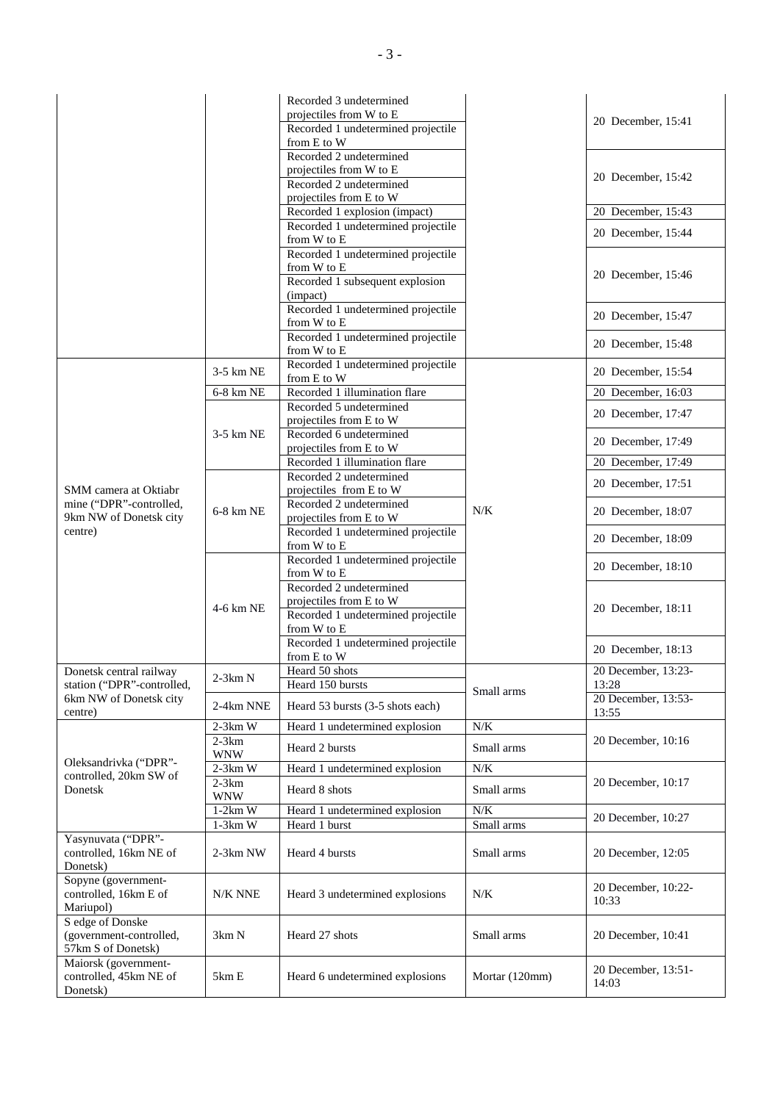|                                                                   |                       | Recorded 3 undetermined<br>projectiles from W to E<br>Recorded 1 undetermined projectile<br>from E to W  |                | 20 December, 15:41           |
|-------------------------------------------------------------------|-----------------------|----------------------------------------------------------------------------------------------------------|----------------|------------------------------|
|                                                                   |                       | Recorded 2 undetermined<br>projectiles from W to E<br>Recorded 2 undetermined<br>projectiles from E to W |                | 20 December, 15:42           |
|                                                                   |                       | Recorded 1 explosion (impact)                                                                            |                | 20 December, 15:43           |
|                                                                   |                       | Recorded 1 undetermined projectile<br>from W to E                                                        |                | 20 December, 15:44           |
|                                                                   |                       | Recorded 1 undetermined projectile<br>from W to E<br>Recorded 1 subsequent explosion<br>(impact)         |                | 20 December, 15:46           |
|                                                                   |                       | Recorded 1 undetermined projectile<br>from W to E                                                        |                | 20 December, 15:47           |
|                                                                   |                       | Recorded 1 undetermined projectile<br>from W to E                                                        |                | 20 December, 15:48           |
|                                                                   | 3-5 km NE             | Recorded 1 undetermined projectile<br>from E to W                                                        |                | 20 December, 15:54           |
|                                                                   | 6-8 km NE             | Recorded 1 illumination flare                                                                            |                | 20 December, 16:03           |
|                                                                   |                       | Recorded 5 undetermined<br>projectiles from E to W                                                       |                | 20 December, 17:47           |
|                                                                   | 3-5 km NE             | Recorded 6 undetermined<br>projectiles from E to W                                                       |                | 20 December, 17:49           |
|                                                                   |                       | Recorded 1 illumination flare                                                                            |                | 20 December, 17:49           |
| SMM camera at Oktiabr                                             | 6-8 km NE             | Recorded 2 undetermined<br>projectiles from E to W                                                       | N/K            | 20 December, 17:51           |
| mine ("DPR"-controlled,<br>9km NW of Donetsk city                 |                       | Recorded 2 undetermined<br>projectiles from E to W                                                       |                | 20 December, 18:07           |
| centre)                                                           | 4-6 km NE             | Recorded 1 undetermined projectile<br>from W to E                                                        |                | 20 December, 18:09           |
|                                                                   |                       | Recorded 1 undetermined projectile<br>from W to E                                                        |                | 20 December, 18:10           |
|                                                                   |                       | Recorded 2 undetermined<br>projectiles from E to W<br>Recorded 1 undetermined projectile<br>from W to E  |                | 20 December, 18:11           |
|                                                                   |                       | Recorded 1 undetermined projectile<br>from E to W                                                        |                | 20 December, 18:13           |
| Donetsk central railway                                           | $2-3km N$             | Heard 50 shots                                                                                           |                | 20 December, 13:23-          |
| station ("DPR"-controlled,<br>6km NW of Donetsk city              | 2-4km NNE             | Heard 150 bursts<br>Heard 53 bursts (3-5 shots each)                                                     | Small arms     | 13:28<br>20 December, 13:53- |
| centre)                                                           | $2-3km$ W             | Heard 1 undetermined explosion                                                                           | N/K            | 13:55                        |
|                                                                   | $2-3km$<br><b>WNW</b> | Heard 2 bursts                                                                                           | Small arms     | 20 December, 10:16           |
| Oleksandrivka ("DPR"-<br>controlled, 20km SW of<br>Donetsk        | $2-3km$ W             | Heard 1 undetermined explosion                                                                           | $N/K$          |                              |
|                                                                   | $2-3km$<br><b>WNW</b> | Heard 8 shots                                                                                            | Small arms     | 20 December, 10:17           |
|                                                                   | $1-2km$ W             | Heard 1 undetermined explosion                                                                           | $N/K$          |                              |
|                                                                   | $1-3km$ W             | Heard 1 burst                                                                                            | Small arms     | 20 December, 10:27           |
| Yasynuvata ("DPR"-<br>controlled, 16km NE of<br>Donetsk)          | $2-3km$ NW            | Heard 4 bursts                                                                                           | Small arms     | 20 December, 12:05           |
| Sopyne (government-<br>controlled, 16km E of<br>Mariupol)         | N/K NNE               | Heard 3 undetermined explosions                                                                          | N/K            | 20 December, 10:22-<br>10:33 |
| S edge of Donske<br>(government-controlled,<br>57km S of Donetsk) | 3km N                 | Heard 27 shots                                                                                           | Small arms     | 20 December, 10:41           |
| Maiorsk (government-<br>controlled, 45km NE of<br>Donetsk)        | 5km E                 | Heard 6 undetermined explosions                                                                          | Mortar (120mm) | 20 December, 13:51-<br>14:03 |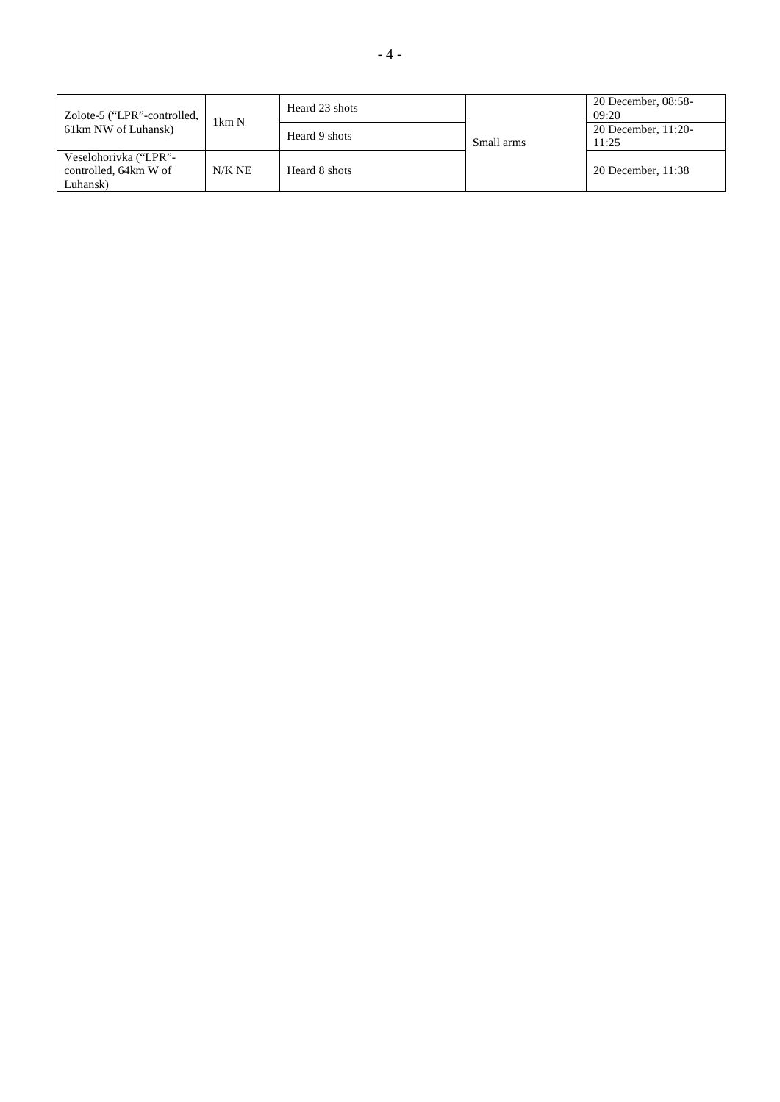| Zolote-5 ("LPR"-controlled,<br>61km NW of Luhansk)         | $1 \text{km} \text{N}$ | Heard 23 shots | Small arms | 20 December, 08:58-<br>09:20 |
|------------------------------------------------------------|------------------------|----------------|------------|------------------------------|
|                                                            |                        | Heard 9 shots  |            | 20 December, 11:20-<br>11:25 |
| Veselohorivka ("LPR"-<br>controlled, 64km W of<br>Luhansk) | $N/K$ NE               | Heard 8 shots  |            | 20 December, 11:38           |